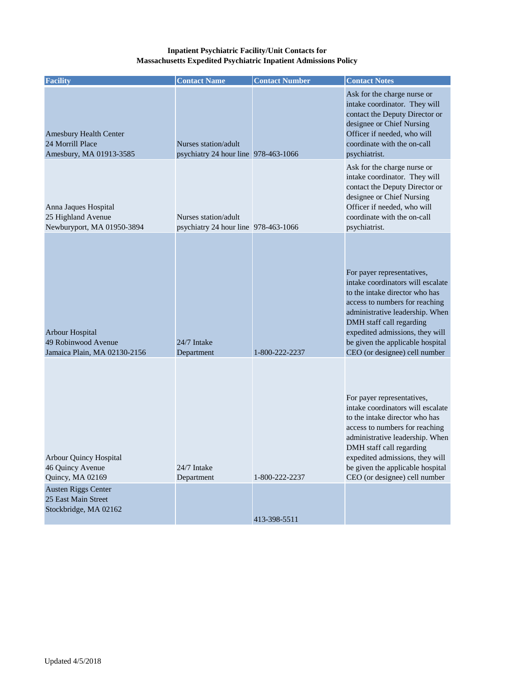## **Inpatient Psychiatric Facility/Unit Contacts for Massachusetts Expedited Psychiatric Inpatient Admissions Policy**

| <b>Facility</b>                                                                                                                              | <b>Contact Name</b>                                          | <b>Contact Number</b> | <b>Contact Notes</b>                                                                                                                                                                                                                                                                                       |
|----------------------------------------------------------------------------------------------------------------------------------------------|--------------------------------------------------------------|-----------------------|------------------------------------------------------------------------------------------------------------------------------------------------------------------------------------------------------------------------------------------------------------------------------------------------------------|
| <b>Amesbury Health Center</b><br>24 Morrill Place<br>Amesbury, MA 01913-3585                                                                 | Nurses station/adult<br>psychiatry 24 hour line 978-463-1066 |                       | Ask for the charge nurse or<br>intake coordinator. They will<br>contact the Deputy Director or<br>designee or Chief Nursing<br>Officer if needed, who will<br>coordinate with the on-call<br>psychiatrist.                                                                                                 |
| Anna Jaques Hospital<br>25 Highland Avenue<br>Newburyport, MA 01950-3894                                                                     | Nurses station/adult<br>psychiatry 24 hour line 978-463-1066 |                       | Ask for the charge nurse or<br>intake coordinator. They will<br>contact the Deputy Director or<br>designee or Chief Nursing<br>Officer if needed, who will<br>coordinate with the on-call<br>psychiatrist.                                                                                                 |
| Arbour Hospital<br>49 Robinwood Avenue<br>Jamaica Plain, MA 02130-2156                                                                       | 24/7 Intake<br>Department                                    | 1-800-222-2237        | For payer representatives,<br>intake coordinators will escalate<br>to the intake director who has<br>access to numbers for reaching<br>administrative leadership. When<br>DMH staff call regarding<br>expedited admissions, they will<br>be given the applicable hospital<br>CEO (or designee) cell number |
| Arbour Quincy Hospital<br>46 Quincy Avenue<br>Quincy, MA 02169<br><b>Austen Riggs Center</b><br>25 East Main Street<br>Stockbridge, MA 02162 | 24/7 Intake<br>Department                                    | 1-800-222-2237        | For payer representatives,<br>intake coordinators will escalate<br>to the intake director who has<br>access to numbers for reaching<br>administrative leadership. When<br>DMH staff call regarding<br>expedited admissions, they will<br>be given the applicable hospital<br>CEO (or designee) cell number |
|                                                                                                                                              |                                                              | 413-398-5511          |                                                                                                                                                                                                                                                                                                            |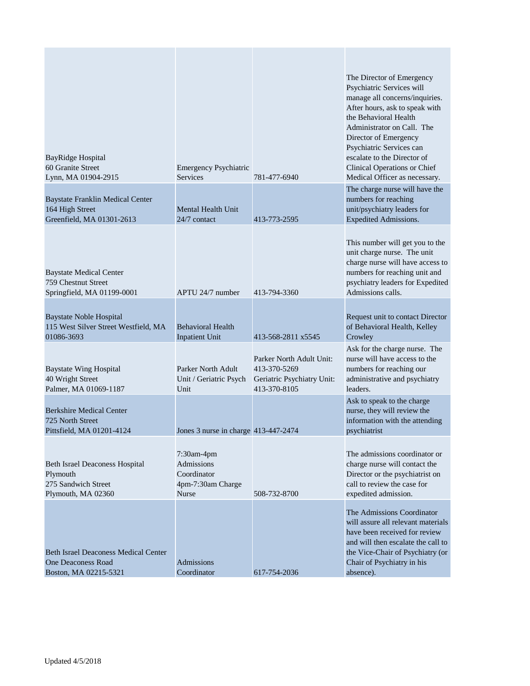| BayRidge Hospital<br>60 Granite Street<br>Lynn, MA 01904-2915                              | Emergency Psychiatric<br><b>Services</b>                                     | 781-477-6940                                                                           | The Director of Emergency<br>Psychiatric Services will<br>manage all concerns/inquiries.<br>After hours, ask to speak with<br>the Behavioral Health<br>Administrator on Call. The<br>Director of Emergency<br>Psychiatric Services can<br>escalate to the Director of<br>Clinical Operations or Chief<br>Medical Officer as necessary. |
|--------------------------------------------------------------------------------------------|------------------------------------------------------------------------------|----------------------------------------------------------------------------------------|----------------------------------------------------------------------------------------------------------------------------------------------------------------------------------------------------------------------------------------------------------------------------------------------------------------------------------------|
| <b>Baystate Franklin Medical Center</b><br>164 High Street<br>Greenfield, MA 01301-2613    | Mental Health Unit<br>24/7 contact                                           | 413-773-2595                                                                           | The charge nurse will have the<br>numbers for reaching<br>unit/psychiatry leaders for<br><b>Expedited Admissions.</b>                                                                                                                                                                                                                  |
| <b>Baystate Medical Center</b><br>759 Chestnut Street<br>Springfield, MA 01199-0001        | APTU 24/7 number                                                             | 413-794-3360                                                                           | This number will get you to the<br>unit charge nurse. The unit<br>charge nurse will have access to<br>numbers for reaching unit and<br>psychiatry leaders for Expedited<br>Admissions calls.                                                                                                                                           |
| <b>Baystate Noble Hospital</b><br>115 West Silver Street Westfield, MA<br>01086-3693       | <b>Behavioral Health</b><br><b>Inpatient Unit</b>                            | 413-568-2811 x5545                                                                     | Request unit to contact Director<br>of Behavioral Health, Kelley<br>Crowley                                                                                                                                                                                                                                                            |
| <b>Baystate Wing Hospital</b><br>40 Wright Street<br>Palmer, MA 01069-1187                 | Parker North Adult<br>Unit / Geriatric Psych<br>Unit                         | Parker North Adult Unit:<br>413-370-5269<br>Geriatric Psychiatry Unit:<br>413-370-8105 | Ask for the charge nurse. The<br>nurse will have access to the<br>numbers for reaching our<br>administrative and psychiatry<br>leaders.                                                                                                                                                                                                |
| <b>Berkshire Medical Center</b><br>725 North Street<br>Pittsfield, MA 01201-4124           | Jones 3 nurse in charge 413-447-2474                                         |                                                                                        | Ask to speak to the charge<br>nurse, they will review the<br>information with the attending<br>psychiatrist                                                                                                                                                                                                                            |
| Beth Israel Deaconess Hospital<br>Plymouth<br>275 Sandwich Street<br>Plymouth, MA 02360    | 7:30am-4pm<br>Admissions<br>Coordinator<br>4pm-7:30am Charge<br><b>Nurse</b> | 508-732-8700                                                                           | The admissions coordinator or<br>charge nurse will contact the<br>Director or the psychiatrist on<br>call to review the case for<br>expedited admission.                                                                                                                                                                               |
| <b>Beth Israel Deaconess Medical Center</b><br>One Deaconess Road<br>Boston, MA 02215-5321 | Admissions<br>Coordinator                                                    | 617-754-2036                                                                           | The Admissions Coordinator<br>will assure all relevant materials<br>have been received for review<br>and will then escalate the call to<br>the Vice-Chair of Psychiatry (or<br>Chair of Psychiatry in his<br>absence).                                                                                                                 |

T.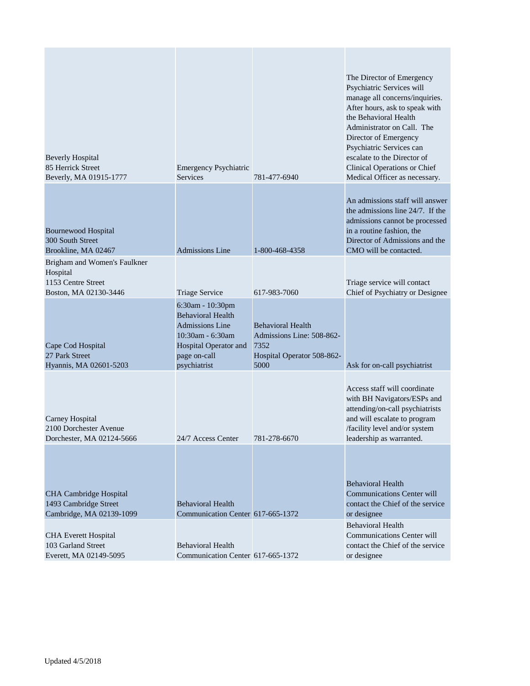| <b>Beverly Hospital</b><br>85 Herrick Street<br>Beverly, MA 01915-1777                  | Emergency Psychiatric<br><b>Services</b>                                                                                                            | 781-477-6940                                                                                        | The Director of Emergency<br>Psychiatric Services will<br>manage all concerns/inquiries.<br>After hours, ask to speak with<br>the Behavioral Health<br>Administrator on Call. The<br>Director of Emergency<br>Psychiatric Services can<br>escalate to the Director of<br>Clinical Operations or Chief<br>Medical Officer as necessary. |
|-----------------------------------------------------------------------------------------|-----------------------------------------------------------------------------------------------------------------------------------------------------|-----------------------------------------------------------------------------------------------------|----------------------------------------------------------------------------------------------------------------------------------------------------------------------------------------------------------------------------------------------------------------------------------------------------------------------------------------|
| Bournewood Hospital<br>300 South Street<br>Brookline, MA 02467                          | <b>Admissions Line</b>                                                                                                                              | 1-800-468-4358                                                                                      | An admissions staff will answer<br>the admissions line 24/7. If the<br>admissions cannot be processed<br>in a routine fashion, the<br>Director of Admissions and the<br>CMO will be contacted.                                                                                                                                         |
| Brigham and Women's Faulkner<br>Hospital<br>1153 Centre Street<br>Boston, MA 02130-3446 | Triage Service                                                                                                                                      | 617-983-7060                                                                                        | Triage service will contact<br>Chief of Psychiatry or Designee                                                                                                                                                                                                                                                                         |
| Cape Cod Hospital<br>27 Park Street<br>Hyannis, MA 02601-5203                           | 6:30am - 10:30pm<br><b>Behavioral Health</b><br><b>Admissions Line</b><br>10:30am - 6:30am<br>Hospital Operator and<br>page on-call<br>psychiatrist | <b>Behavioral Health</b><br>Admissions Line: 508-862-<br>7352<br>Hospital Operator 508-862-<br>5000 | Ask for on-call psychiatrist                                                                                                                                                                                                                                                                                                           |
| Carney Hospital<br>2100 Dorchester Avenue<br>Dorchester, MA 02124-5666                  | 24/7 Access Center                                                                                                                                  | 781-278-6670                                                                                        | Access staff will coordinate<br>with BH Navigators/ESPs and<br>attending/on-call psychiatrists<br>and will escalate to program<br>/facility level and/or system<br>leadership as warranted.                                                                                                                                            |
| CHA Cambridge Hospital<br>1493 Cambridge Street<br>Cambridge, MA 02139-1099             | <b>Behavioral Health</b><br>Communication Center 617-665-1372                                                                                       |                                                                                                     | <b>Behavioral Health</b><br><b>Communications Center will</b><br>contact the Chief of the service<br>or designee                                                                                                                                                                                                                       |
| <b>CHA Everett Hospital</b><br>103 Garland Street<br>Everett, MA 02149-5095             | <b>Behavioral Health</b><br>Communication Center 617-665-1372                                                                                       |                                                                                                     | <b>Behavioral Health</b><br><b>Communications Center will</b><br>contact the Chief of the service<br>or designee                                                                                                                                                                                                                       |

T.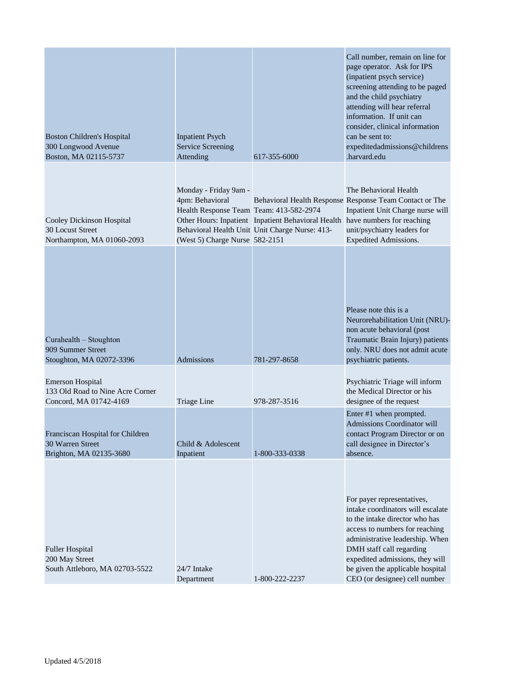| <b>Boston Children's Hospital</b><br>300 Longwood Avenue<br>Boston, MA 02115-5737     | <b>Inpatient Psych</b><br>Service Screening<br>Attending                                                              | 617-355-6000                                                                                         | Call number, remain on line for<br>page operator. Ask for IPS<br>(inpatient psych service)<br>screening attending to be paged<br>and the child psychiatry<br>attending will hear referral<br>information. If unit can<br>consider, clinical information<br>can be sent to:<br>expeditedadmissions@childrens<br>.harvard.edu |
|---------------------------------------------------------------------------------------|-----------------------------------------------------------------------------------------------------------------------|------------------------------------------------------------------------------------------------------|-----------------------------------------------------------------------------------------------------------------------------------------------------------------------------------------------------------------------------------------------------------------------------------------------------------------------------|
| Cooley Dickinson Hospital<br>30 Locust Street<br>Northampton, MA 01060-2093           | Monday - Friday 9am -<br>4pm: Behavioral<br>Health Response Team Team: 413-582-2974<br>(West 5) Charge Nurse 582-2151 | Other Hours: Inpatient Inpatient Behavioral Health<br>Behavioral Health Unit Unit Charge Nurse: 413- | The Behavioral Health<br>Behavioral Health Response Response Team Contact or The<br>Inpatient Unit Charge nurse will<br>have numbers for reaching<br>unit/psychiatry leaders for<br>Expedited Admissions.                                                                                                                   |
| Curahealth – Stoughton<br>909 Summer Street<br>Stoughton, MA 02072-3396               | Admissions                                                                                                            | 781-297-8658                                                                                         | Please note this is a<br>Neurorehabilitation Unit (NRU)-<br>non acute behavioral (post<br>Traumatic Brain Injury) patients<br>only. NRU does not admit acute<br>psychiatric patients.                                                                                                                                       |
| <b>Emerson Hospital</b><br>133 Old Road to Nine Acre Corner<br>Concord, MA 01742-4169 | Triage Line                                                                                                           | 978-287-3516                                                                                         | Psychiatric Triage will inform<br>the Medical Director or his<br>designee of the request                                                                                                                                                                                                                                    |
| Franciscan Hospital for Children<br>30 Warren Street<br>Brighton, MA 02135-3680       | Child & Adolescent<br>Inpatient                                                                                       | 1-800-333-0338                                                                                       | Enter #1 when prompted.<br><b>Admissions Coordinator will</b><br>contact Program Director or on<br>call designee in Director's<br>absence.                                                                                                                                                                                  |
| <b>Fuller Hospital</b><br>200 May Street<br>South Attleboro, MA 02703-5522            | 24/7 Intake<br>Department                                                                                             | 1-800-222-2237                                                                                       | For payer representatives,<br>intake coordinators will escalate<br>to the intake director who has<br>access to numbers for reaching<br>administrative leadership. When<br>DMH staff call regarding<br>expedited admissions, they will<br>be given the applicable hospital<br>CEO (or designee) cell number                  |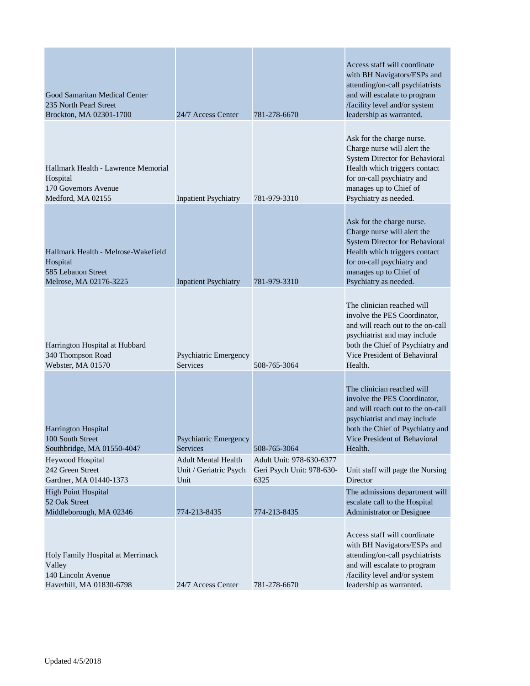| Good Samaritan Medical Center<br>235 North Pearl Street<br>Brockton, MA 02301-1700              | 24/7 Access Center                                           | 781-278-6670                                                  | Access staff will coordinate<br>with BH Navigators/ESPs and<br>attending/on-call psychiatrists<br>and will escalate to program<br>/facility level and/or system<br>leadership as warranted.                         |
|-------------------------------------------------------------------------------------------------|--------------------------------------------------------------|---------------------------------------------------------------|---------------------------------------------------------------------------------------------------------------------------------------------------------------------------------------------------------------------|
| Hallmark Health - Lawrence Memorial<br>Hospital<br>170 Governors Avenue<br>Medford, MA 02155    | <b>Inpatient Psychiatry</b>                                  | 781-979-3310                                                  | Ask for the charge nurse.<br>Charge nurse will alert the<br><b>System Director for Behavioral</b><br>Health which triggers contact<br>for on-call psychiatry and<br>manages up to Chief of<br>Psychiatry as needed. |
| Hallmark Health - Melrose-Wakefield<br>Hospital<br>585 Lebanon Street<br>Melrose, MA 02176-3225 | <b>Inpatient Psychiatry</b>                                  | 781-979-3310                                                  | Ask for the charge nurse.<br>Charge nurse will alert the<br><b>System Director for Behavioral</b><br>Health which triggers contact<br>for on-call psychiatry and<br>manages up to Chief of<br>Psychiatry as needed. |
| Harrington Hospital at Hubbard<br>340 Thompson Road<br>Webster, MA 01570                        | Psychiatric Emergency<br>Services                            | 508-765-3064                                                  | The clinician reached will<br>involve the PES Coordinator,<br>and will reach out to the on-call<br>psychiatrist and may include<br>both the Chief of Psychiatry and<br>Vice President of Behavioral<br>Health.      |
| Harrington Hospital<br>100 South Street<br>Southbridge, MA 01550-4047                           | <b>Psychiatric Emergency</b><br><b>Services</b>              | 508-765-3064                                                  | The clinician reached will<br>involve the PES Coordinator,<br>and will reach out to the on-call<br>psychiatrist and may include<br>both the Chief of Psychiatry and<br>Vice President of Behavioral<br>Health.      |
| Heywood Hospital<br>242 Green Street<br>Gardner, MA 01440-1373                                  | <b>Adult Mental Health</b><br>Unit / Geriatric Psych<br>Unit | Adult Unit: 978-630-6377<br>Geri Psych Unit: 978-630-<br>6325 | Unit staff will page the Nursing<br>Director                                                                                                                                                                        |
| <b>High Point Hospital</b><br>52 Oak Street<br>Middleborough, MA 02346                          | 774-213-8435                                                 | 774-213-8435                                                  | The admissions department will<br>escalate call to the Hospital<br>Administrator or Designee                                                                                                                        |
| Holy Family Hospital at Merrimack<br>Valley<br>140 Lincoln Avenue<br>Haverhill, MA 01830-6798   | 24/7 Access Center                                           | 781-278-6670                                                  | Access staff will coordinate<br>with BH Navigators/ESPs and<br>attending/on-call psychiatrists<br>and will escalate to program<br>/facility level and/or system<br>leadership as warranted.                         |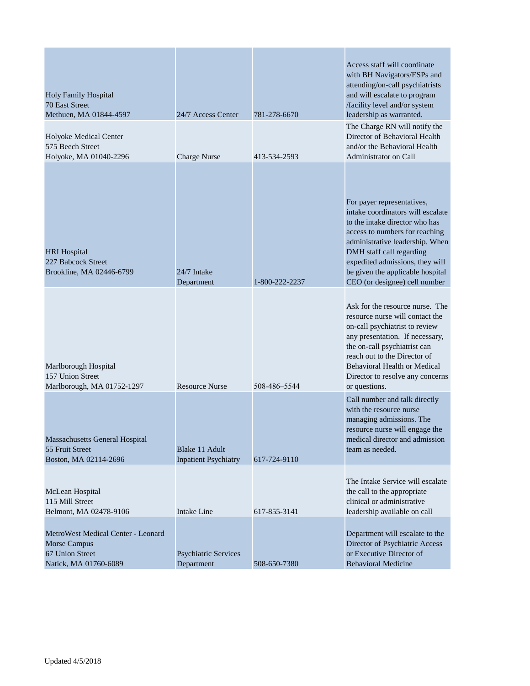| <b>Holy Family Hospital</b><br>70 East Street<br>Methuen, MA 01844-4597                        | 24/7 Access Center                            | 781-278-6670   | Access staff will coordinate<br>with BH Navigators/ESPs and<br>attending/on-call psychiatrists<br>and will escalate to program<br>/facility level and/or system<br>leadership as warranted.                                                                                                                |
|------------------------------------------------------------------------------------------------|-----------------------------------------------|----------------|------------------------------------------------------------------------------------------------------------------------------------------------------------------------------------------------------------------------------------------------------------------------------------------------------------|
| Holyoke Medical Center<br>575 Beech Street<br>Holyoke, MA 01040-2296                           | <b>Charge Nurse</b>                           | 413-534-2593   | The Charge RN will notify the<br>Director of Behavioral Health<br>and/or the Behavioral Health<br>Administrator on Call                                                                                                                                                                                    |
| <b>HRI</b> Hospital<br>227 Babcock Street<br>Brookline, MA 02446-6799                          | 24/7 Intake<br>Department                     | 1-800-222-2237 | For payer representatives,<br>intake coordinators will escalate<br>to the intake director who has<br>access to numbers for reaching<br>administrative leadership. When<br>DMH staff call regarding<br>expedited admissions, they will<br>be given the applicable hospital<br>CEO (or designee) cell number |
| Marlborough Hospital<br>157 Union Street<br>Marlborough, MA 01752-1297                         | <b>Resource Nurse</b>                         | 508-486-5544   | Ask for the resource nurse. The<br>resource nurse will contact the<br>on-call psychiatrist to review<br>any presentation. If necessary,<br>the on-call psychiatrist can<br>reach out to the Director of<br><b>Behavioral Health or Medical</b><br>Director to resolve any concerns<br>or questions.        |
| <b>Massachusetts General Hospital</b><br>55 Fruit Street<br>Boston, MA 02114-2696              | Blake 11 Adult<br><b>Inpatient Psychiatry</b> | 617-724-9110   | Call number and talk directly<br>with the resource nurse<br>managing admissions. The<br>resource nurse will engage the<br>medical director and admission<br>team as needed.                                                                                                                                |
| McLean Hospital<br>115 Mill Street<br>Belmont, MA 02478-9106                                   | <b>Intake Line</b>                            | 617-855-3141   | The Intake Service will escalate<br>the call to the appropriate<br>clinical or administrative<br>leadership available on call                                                                                                                                                                              |
| MetroWest Medical Center - Leonard<br>Morse Campus<br>67 Union Street<br>Natick, MA 01760-6089 | <b>Psychiatric Services</b><br>Department     | 508-650-7380   | Department will escalate to the<br>Director of Psychiatric Access<br>or Executive Director of<br><b>Behavioral Medicine</b>                                                                                                                                                                                |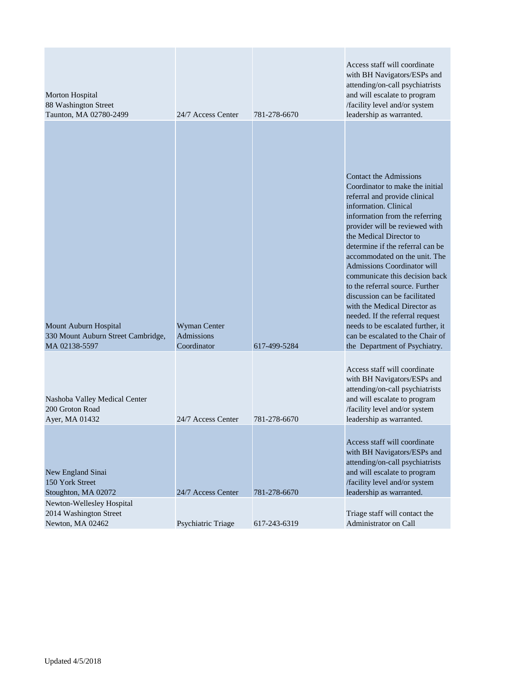| Morton Hospital<br>88 Washington Street<br>Taunton, MA 02780-2499            | 24/7 Access Center                               | 781-278-6670 | Access staff will coordinate<br>with BH Navigators/ESPs and<br>attending/on-call psychiatrists<br>and will escalate to program<br>/facility level and/or system<br>leadership as warranted.                                                                                                                                                                                                                                                                                                                                                                                                                      |
|------------------------------------------------------------------------------|--------------------------------------------------|--------------|------------------------------------------------------------------------------------------------------------------------------------------------------------------------------------------------------------------------------------------------------------------------------------------------------------------------------------------------------------------------------------------------------------------------------------------------------------------------------------------------------------------------------------------------------------------------------------------------------------------|
| Mount Auburn Hospital<br>330 Mount Auburn Street Cambridge,<br>MA 02138-5597 | Wyman Center<br><b>Admissions</b><br>Coordinator | 617-499-5284 | <b>Contact the Admissions</b><br>Coordinator to make the initial<br>referral and provide clinical<br>information. Clinical<br>information from the referring<br>provider will be reviewed with<br>the Medical Director to<br>determine if the referral can be<br>accommodated on the unit. The<br>Admissions Coordinator will<br>communicate this decision back<br>to the referral source. Further<br>discussion can be facilitated<br>with the Medical Director as<br>needed. If the referral request<br>needs to be escalated further, it<br>can be escalated to the Chair of<br>the Department of Psychiatry. |
| Nashoba Valley Medical Center<br>200 Groton Road<br>Ayer, MA 01432           | 24/7 Access Center                               | 781-278-6670 | Access staff will coordinate<br>with BH Navigators/ESPs and<br>attending/on-call psychiatrists<br>and will escalate to program<br>/facility level and/or system<br>leadership as warranted.<br>Access staff will coordinate<br>with BH Navigators/ESPs and<br>attending/on-call psychiatrists                                                                                                                                                                                                                                                                                                                    |
| New England Sinai<br>150 York Street<br>Stoughton, MA 02072                  | 24/7 Access Center                               | 781-278-6670 | and will escalate to program<br>/facility level and/or system<br>leadership as warranted.                                                                                                                                                                                                                                                                                                                                                                                                                                                                                                                        |
| Newton-Wellesley Hospital<br>2014 Washington Street<br>Newton, MA 02462      | Psychiatric Triage                               | 617-243-6319 | Triage staff will contact the<br>Administrator on Call                                                                                                                                                                                                                                                                                                                                                                                                                                                                                                                                                           |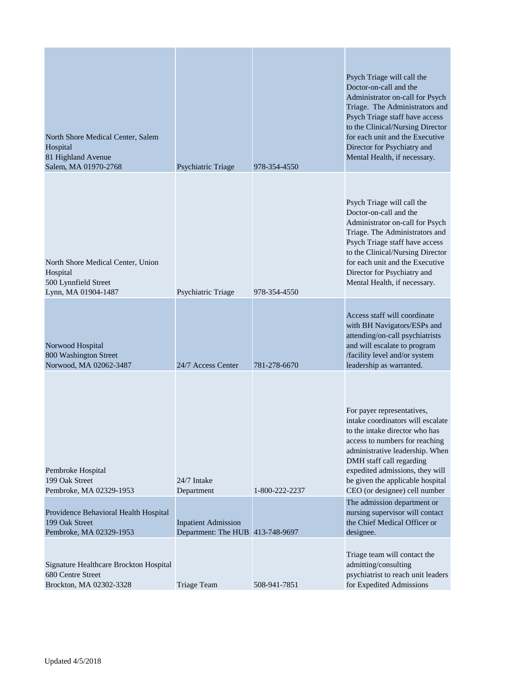| North Shore Medical Center, Salem<br>Hospital<br>81 Highland Avenue<br>Salem, MA 01970-2768  | Psychiatric Triage                                             | 978-354-4550   | Psych Triage will call the<br>Doctor-on-call and the<br>Administrator on-call for Psych<br>Triage. The Administrators and<br>Psych Triage staff have access<br>to the Clinical/Nursing Director<br>for each unit and the Executive<br>Director for Psychiatry and<br>Mental Health, if necessary.          |
|----------------------------------------------------------------------------------------------|----------------------------------------------------------------|----------------|------------------------------------------------------------------------------------------------------------------------------------------------------------------------------------------------------------------------------------------------------------------------------------------------------------|
| North Shore Medical Center, Union<br>Hospital<br>500 Lynnfield Street<br>Lynn, MA 01904-1487 | Psychiatric Triage                                             | 978-354-4550   | Psych Triage will call the<br>Doctor-on-call and the<br>Administrator on-call for Psych<br>Triage. The Administrators and<br>Psych Triage staff have access<br>to the Clinical/Nursing Director<br>for each unit and the Executive<br>Director for Psychiatry and<br>Mental Health, if necessary.          |
| Norwood Hospital<br>800 Washington Street<br>Norwood, MA 02062-3487                          | 24/7 Access Center                                             | 781-278-6670   | Access staff will coordinate<br>with BH Navigators/ESPs and<br>attending/on-call psychiatrists<br>and will escalate to program<br>/facility level and/or system<br>leadership as warranted.                                                                                                                |
| Pembroke Hospital<br>199 Oak Street<br>Pembroke, MA 02329-1953                               | 24/7 Intake<br>Department                                      | 1-800-222-2237 | For payer representatives,<br>intake coordinators will escalate<br>to the intake director who has<br>access to numbers for reaching<br>administrative leadership. When<br>DMH staff call regarding<br>expedited admissions, they will<br>be given the applicable hospital<br>CEO (or designee) cell number |
| Providence Behavioral Health Hospital<br>199 Oak Street<br>Pembroke, MA 02329-1953           | <b>Inpatient Admission</b><br>Department: The HUB 413-748-9697 |                | The admission department or<br>nursing supervisor will contact<br>the Chief Medical Officer or<br>designee.                                                                                                                                                                                                |
| Signature Healthcare Brockton Hospital<br>680 Centre Street<br>Brockton, MA 02302-3328       | <b>Triage Team</b>                                             | 508-941-7851   | Triage team will contact the<br>admitting/consulting<br>psychiatrist to reach unit leaders<br>for Expedited Admissions                                                                                                                                                                                     |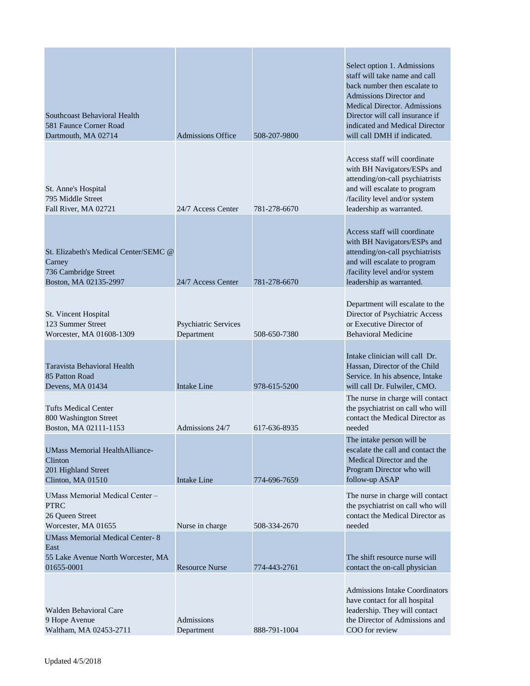| Southcoast Behavioral Health<br>581 Faunce Corner Road<br>Dartmouth, MA 02714                      | <b>Admissions Office</b>                  | 508-207-9800 | Select option 1. Admissions<br>staff will take name and call<br>back number then escalate to<br>Admissions Director and<br><b>Medical Director. Admissions</b><br>Director will call insurance if<br>indicated and Medical Director<br>will call DMH if indicated. |
|----------------------------------------------------------------------------------------------------|-------------------------------------------|--------------|--------------------------------------------------------------------------------------------------------------------------------------------------------------------------------------------------------------------------------------------------------------------|
| St. Anne's Hospital<br>795 Middle Street<br>Fall River, MA 02721                                   | 24/7 Access Center                        | 781-278-6670 | Access staff will coordinate<br>with BH Navigators/ESPs and<br>attending/on-call psychiatrists<br>and will escalate to program<br>/facility level and/or system<br>leadership as warranted.                                                                        |
| St. Elizabeth's Medical Center/SEMC @<br>Carney<br>736 Cambridge Street<br>Boston, MA 02135-2997   | 24/7 Access Center                        | 781-278-6670 | Access staff will coordinate<br>with BH Navigators/ESPs and<br>attending/on-call psychiatrists<br>and will escalate to program<br>/facility level and/or system<br>leadership as warranted.                                                                        |
| St. Vincent Hospital<br>123 Summer Street<br>Worcester, MA 01608-1309                              | <b>Psychiatric Services</b><br>Department | 508-650-7380 | Department will escalate to the<br>Director of Psychiatric Access<br>or Executive Director of<br><b>Behavioral Medicine</b>                                                                                                                                        |
| Taravista Behavioral Health<br>85 Patton Road<br>Devens, MA 01434                                  | <b>Intake Line</b>                        | 978-615-5200 | Intake clinician will call Dr.<br>Hassan, Director of the Child<br>Service. In his absence, Intake<br>will call Dr. Fulwiler, CMO.                                                                                                                                 |
| <b>Tufts Medical Center</b><br>800 Washington Street<br>Boston, MA 02111-1153                      | Admissions 24/7                           | 617-636-8935 | The nurse in charge will contact<br>the psychiatrist on call who will<br>contact the Medical Director as<br>needed                                                                                                                                                 |
| <b>UMass Memorial HealthAlliance-</b><br>Clinton<br>201 Highland Street<br>Clinton, MA 01510       | <b>Intake Line</b>                        | 774-696-7659 | The intake person will be<br>escalate the call and contact the<br>Medical Director and the<br>Program Director who will<br>follow-up ASAP                                                                                                                          |
| UMass Memorial Medical Center -<br><b>PTRC</b><br>26 Queen Street<br>Worcester, MA 01655           | Nurse in charge                           | 508-334-2670 | The nurse in charge will contact<br>the psychiatrist on call who will<br>contact the Medical Director as<br>needed                                                                                                                                                 |
| <b>UMass Memorial Medical Center-8</b><br>East<br>55 Lake Avenue North Worcester, MA<br>01655-0001 | <b>Resource Nurse</b>                     | 774-443-2761 | The shift resource nurse will<br>contact the on-call physician                                                                                                                                                                                                     |
| <b>Walden Behavioral Care</b><br>9 Hope Avenue<br>Waltham, MA 02453-2711                           | Admissions<br>Department                  | 888-791-1004 | <b>Admissions Intake Coordinators</b><br>have contact for all hospital<br>leadership. They will contact<br>the Director of Admissions and<br>COO for review                                                                                                        |